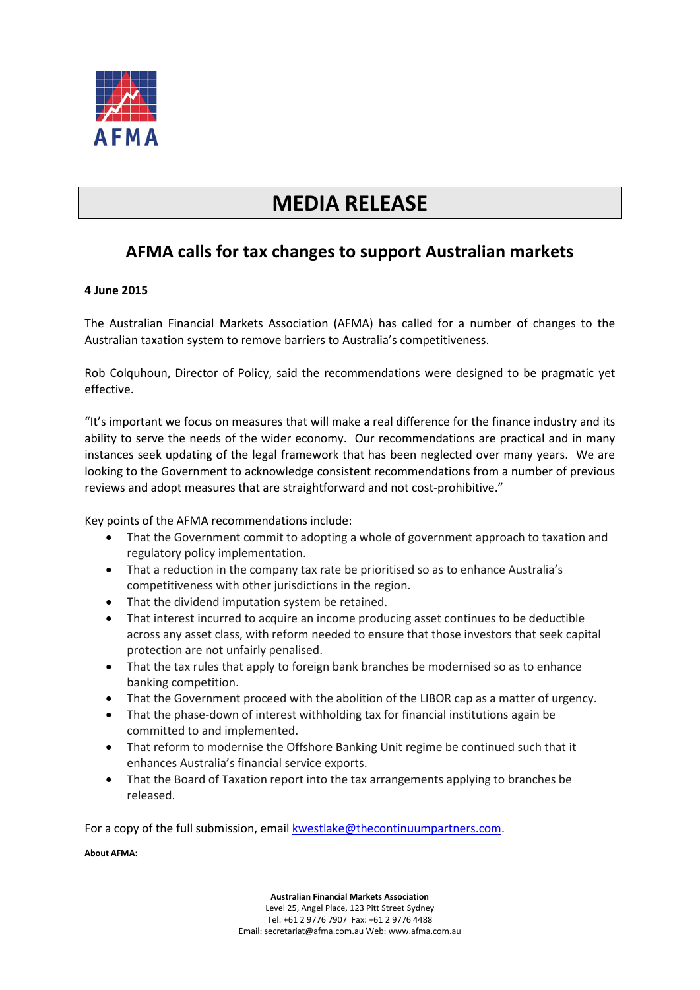

## **MEDIA RELEASE**

## **AFMA calls for tax changes to support Australian markets**

## **4 June 2015**

The Australian Financial Markets Association (AFMA) has called for a number of changes to the Australian taxation system to remove barriers to Australia's competitiveness.

Rob Colquhoun, Director of Policy, said the recommendations were designed to be pragmatic yet effective.

"It's important we focus on measures that will make a real difference for the finance industry and its ability to serve the needs of the wider economy. Our recommendations are practical and in many instances seek updating of the legal framework that has been neglected over many years. We are looking to the Government to acknowledge consistent recommendations from a number of previous reviews and adopt measures that are straightforward and not cost-prohibitive."

Key points of the AFMA recommendations include:

- That the Government commit to adopting a whole of government approach to taxation and regulatory policy implementation.
- That a reduction in the company tax rate be prioritised so as to enhance Australia's competitiveness with other jurisdictions in the region.
- That the dividend imputation system be retained.
- That interest incurred to acquire an income producing asset continues to be deductible across any asset class, with reform needed to ensure that those investors that seek capital protection are not unfairly penalised.
- That the tax rules that apply to foreign bank branches be modernised so as to enhance banking competition.
- That the Government proceed with the abolition of the LIBOR cap as a matter of urgency.
- That the phase-down of interest withholding tax for financial institutions again be committed to and implemented.
- That reform to modernise the Offshore Banking Unit regime be continued such that it enhances Australia's financial service exports.
- That the Board of Taxation report into the tax arrangements applying to branches be released.

For a copy of the full submission, email **kwestlake@thecontinuumpartners.com**.

## **About AFMA:**